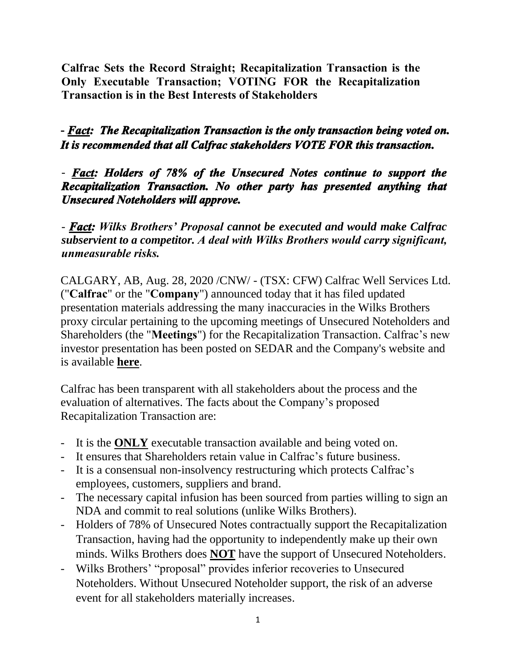**Calfrac Sets the Record Straight; Recapitalization Transaction is the Only Executable Transaction; VOTING FOR the Recapitalization Transaction is in the Best Interests of Stakeholders**

# **-** *Fact: The Recapitalization Transaction is the only transaction being voted on. It is recommended that all Calfrac stakeholders VOTE FOR this transaction.*

## - *Fact: Holders of 78% of the Unsecured Notes continue to support the Recapitalization Transaction. No other party has presented anything that Unsecured Noteholders will approve.*

- *Fact: Wilks Brothers' Proposal cannot be executed and would make Calfrac subservient to a competitor. A deal with Wilks Brothers would carry significant, unmeasurable risks.* 

CALGARY, AB, Aug. 28, 2020 /CNW/ - (TSX: CFW) Calfrac Well Services Ltd. ("**Calfrac**" or the "**Company**") announced today that it has filed updated presentation materials addressing the many inaccuracies in the Wilks Brothers proxy circular pertaining to the upcoming meetings of Unsecured Noteholders and Shareholders (the "**Meetings**") for the Recapitalization Transaction. Calfrac's new investor presentation has been posted on SEDAR and the Company's website and is available **here**.

Calfrac has been transparent with all stakeholders about the process and the evaluation of alternatives. The facts about the Company's proposed Recapitalization Transaction are:

- It is the **ONLY** executable transaction available and being voted on.
- It ensures that Shareholders retain value in Calfrac's future business.
- It is a consensual non-insolvency restructuring which protects Calfrac's employees, customers, suppliers and brand.
- The necessary capital infusion has been sourced from parties willing to sign an NDA and commit to real solutions (unlike Wilks Brothers).
- Holders of 78% of Unsecured Notes contractually support the Recapitalization Transaction, having had the opportunity to independently make up their own minds. Wilks Brothers does **NOT** have the support of Unsecured Noteholders.
- Wilks Brothers' "proposal" provides inferior recoveries to Unsecured Noteholders. Without Unsecured Noteholder support, the risk of an adverse event for all stakeholders materially increases.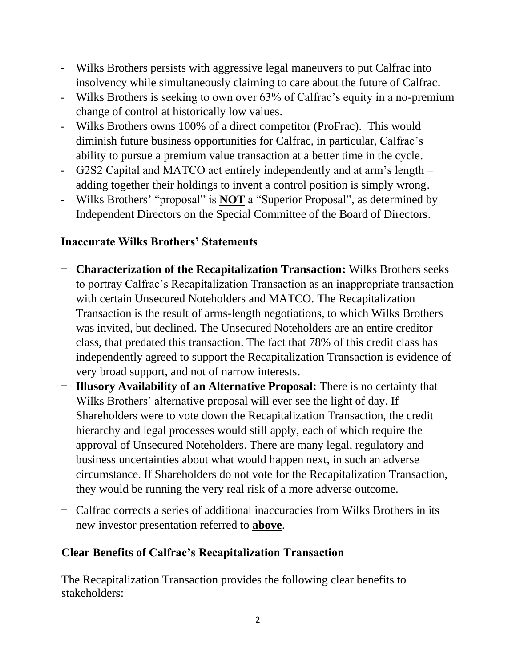- Wilks Brothers persists with aggressive legal maneuvers to put Calfrac into insolvency while simultaneously claiming to care about the future of Calfrac.
- Wilks Brothers is seeking to own over 63% of Calfrac's equity in a no-premium change of control at historically low values.
- Wilks Brothers owns 100% of a direct competitor (ProFrac). This would diminish future business opportunities for Calfrac, in particular, Calfrac's ability to pursue a premium value transaction at a better time in the cycle.
- G2S2 Capital and MATCO act entirely independently and at arm's length adding together their holdings to invent a control position is simply wrong.
- Wilks Brothers' "proposal" is **NOT** a "Superior Proposal", as determined by Independent Directors on the Special Committee of the Board of Directors.

## **Inaccurate Wilks Brothers' Statements**

- − **Characterization of the Recapitalization Transaction:** Wilks Brothers seeks to portray Calfrac's Recapitalization Transaction as an inappropriate transaction with certain Unsecured Noteholders and MATCO. The Recapitalization Transaction is the result of arms-length negotiations, to which Wilks Brothers was invited, but declined. The Unsecured Noteholders are an entire creditor class, that predated this transaction. The fact that 78% of this credit class has independently agreed to support the Recapitalization Transaction is evidence of very broad support, and not of narrow interests.
- − **Illusory Availability of an Alternative Proposal:** There is no certainty that Wilks Brothers' alternative proposal will ever see the light of day. If Shareholders were to vote down the Recapitalization Transaction, the credit hierarchy and legal processes would still apply, each of which require the approval of Unsecured Noteholders. There are many legal, regulatory and business uncertainties about what would happen next, in such an adverse circumstance. If Shareholders do not vote for the Recapitalization Transaction, they would be running the very real risk of a more adverse outcome.
- − Calfrac corrects a series of additional inaccuracies from Wilks Brothers in its new investor presentation referred to **above**.

## **Clear Benefits of Calfrac's Recapitalization Transaction**

The Recapitalization Transaction provides the following clear benefits to stakeholders: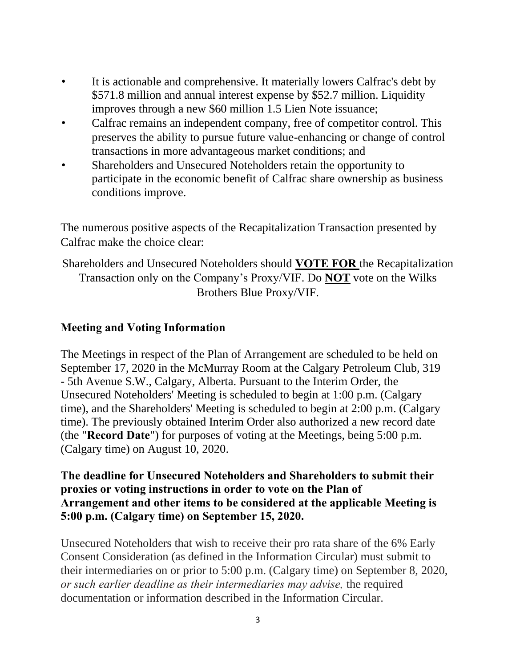- It is actionable and comprehensive. It materially lowers Calfrac's debt by \$571.8 million and annual interest expense by \$52.7 million. Liquidity improves through a new \$60 million 1.5 Lien Note issuance;
- Calfrac remains an independent company, free of competitor control. This preserves the ability to pursue future value-enhancing or change of control transactions in more advantageous market conditions; and
- Shareholders and Unsecured Noteholders retain the opportunity to participate in the economic benefit of Calfrac share ownership as business conditions improve.

The numerous positive aspects of the Recapitalization Transaction presented by Calfrac make the choice clear:

Shareholders and Unsecured Noteholders should **VOTE FOR** the Recapitalization Transaction only on the Company's Proxy/VIF. Do **NOT** vote on the Wilks Brothers Blue Proxy/VIF.

#### **Meeting and Voting Information**

The Meetings in respect of the Plan of Arrangement are scheduled to be held on September 17, 2020 in the McMurray Room at the Calgary Petroleum Club, 319 - 5th Avenue S.W., Calgary, Alberta. Pursuant to the Interim Order, the Unsecured Noteholders' Meeting is scheduled to begin at 1:00 p.m. (Calgary time), and the Shareholders' Meeting is scheduled to begin at 2:00 p.m. (Calgary time). The previously obtained Interim Order also authorized a new record date (the "**Record Date**") for purposes of voting at the Meetings, being 5:00 p.m. (Calgary time) on August 10, 2020.

#### **The deadline for Unsecured Noteholders and Shareholders to submit their proxies or voting instructions in order to vote on the Plan of Arrangement and other items to be considered at the applicable Meeting is 5:00 p.m. (Calgary time) on September 15, 2020.**

Unsecured Noteholders that wish to receive their pro rata share of the 6% Early Consent Consideration (as defined in the Information Circular) must submit to their intermediaries on or prior to 5:00 p.m. (Calgary time) on September 8, 2020, *or such earlier deadline as their intermediaries may advise,* the required documentation or information described in the Information Circular.